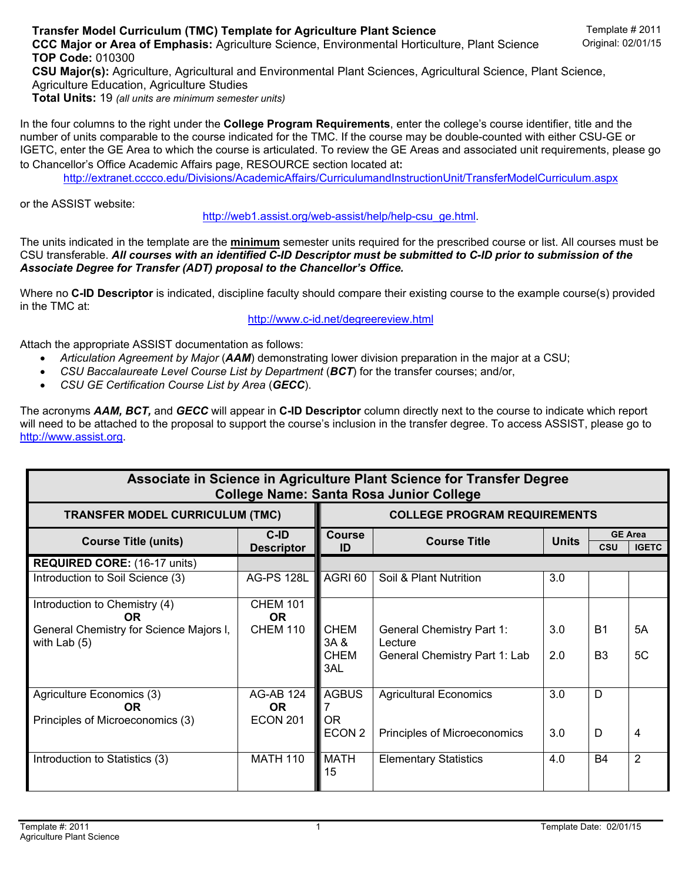In the four columns to the right under the **College Program Requirements**, enter the college's course identifier, title and the number of units comparable to the course indicated for the TMC. If the course may be double-counted with either CSU-GE or IGETC, enter the GE Area to which the course is articulated. To review the GE Areas and associated unit requirements, please go to Chancellor's Office Academic Affairs page, RESOURCE section located at:

http://extranet.cccco.edu/Divisions/AcademicAffairs/CurriculumandInstructionUnit/TransferModelCurriculum.aspx

## or the ASSIST website:

http://web1.assist.org/web-assist/help/help-csu\_ge.html.

The units indicated in the template are the **minimum** semester units required for the prescribed course or list. All courses must be CSU transferable. *All courses with an identified C-ID Descriptor must be submitted to C-ID prior to submission of the Associate Degree for Transfer (ADT) proposal to the Chancellor's Office.*

Where no **C-ID Descriptor** is indicated, discipline faculty should compare their existing course to the example course(s) provided in the TMC at:

http://www.c-id.net/degreereview.html

Attach the appropriate ASSIST documentation as follows:

- *Articulation Agreement by Major* (*AAM*) demonstrating lower division preparation in the major at a CSU;
- *CSU Baccalaureate Level Course List by Department* (*BCT*) for the transfer courses; and/or,
- *CSU GE Certification Course List by Area* (*GECC*).

The acronyms *AAM, BCT,* and *GECC* will appear in **C-ID Descriptor** column directly next to the course to indicate which report will need to be attached to the proposal to support the course's inclusion in the transfer degree. To access ASSIST, please go to http://www.assist.org.

| Associate in Science in Agriculture Plant Science for Transfer Degree<br><b>College Name: Santa Rosa Junior College</b> |                                            |                                                |                                                                              |              |                             |                                |  |  |  |  |  |
|-------------------------------------------------------------------------------------------------------------------------|--------------------------------------------|------------------------------------------------|------------------------------------------------------------------------------|--------------|-----------------------------|--------------------------------|--|--|--|--|--|
| <b>TRANSFER MODEL CURRICULUM (TMC)</b>                                                                                  |                                            | <b>COLLEGE PROGRAM REQUIREMENTS</b>            |                                                                              |              |                             |                                |  |  |  |  |  |
| <b>Course Title (units)</b>                                                                                             | C-ID<br><b>Descriptor</b>                  | <b>Course</b><br>ID                            | <b>Course Title</b>                                                          | <b>Units</b> | CSU                         | <b>GE Area</b><br><b>IGETC</b> |  |  |  |  |  |
| <b>REQUIRED CORE: (16-17 units)</b>                                                                                     |                                            |                                                |                                                                              |              |                             |                                |  |  |  |  |  |
| Introduction to Soil Science (3)                                                                                        | <b>AG-PS 128L</b>                          | AGRI 60                                        | Soil & Plant Nutrition                                                       | 3.0          |                             |                                |  |  |  |  |  |
| Introduction to Chemistry (4)<br><b>OR</b><br>General Chemistry for Science Majors I,<br>with Lab $(5)$                 | <b>CHEM 101</b><br>OR.<br><b>CHEM 110</b>  | <b>CHEM</b><br>3A &<br><b>CHEM</b><br>3AL      | <b>General Chemistry Part 1:</b><br>Lecture<br>General Chemistry Part 1: Lab | 3.0<br>2.0   | <b>B1</b><br>B <sub>3</sub> | 5A<br>5C                       |  |  |  |  |  |
| Agriculture Economics (3)<br><b>OR</b><br>Principles of Microeconomics (3)                                              | <b>AG-AB 124</b><br>OR.<br><b>ECON 201</b> | <b>AGBUS</b><br><b>OR</b><br>ECON <sub>2</sub> | <b>Agricultural Economics</b><br>Principles of Microeconomics                | 3.0<br>3.0   | D<br>D                      | 4                              |  |  |  |  |  |
| Introduction to Statistics (3)                                                                                          | <b>MATH 110</b>                            | <b>MATH</b><br>15                              | <b>Elementary Statistics</b>                                                 | 4.0          | <b>B4</b>                   | $\overline{2}$                 |  |  |  |  |  |